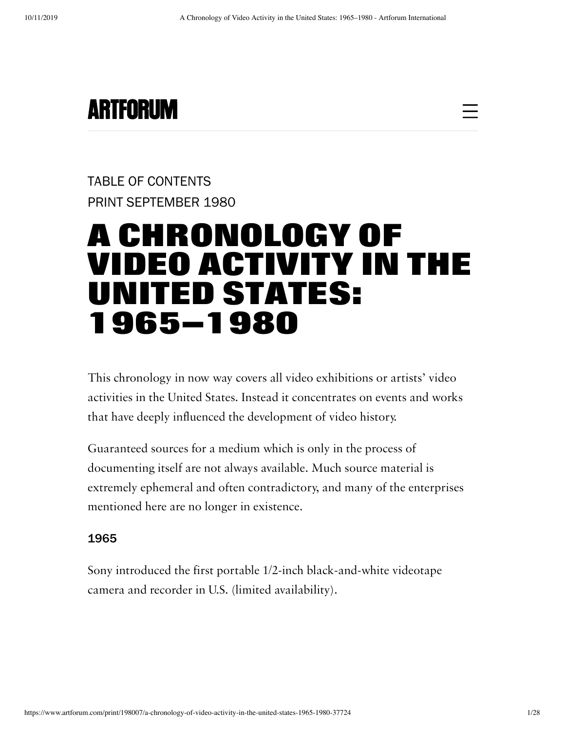

## [TABLE OF CONTENTS](https://www.artforum.com/print/198007) [PRINT SEPTEMBER 1980](https://www.artforum.com/print/198007)

# A CHRONOLOGY OF [VIDEO ACTIVITY IN THE](https://www.artforum.com/print/198007/a-chronology-of-video-activity-in-the-united-states-1965-1980-37724) UNITED STATES: 1965–1980

This chronology in now way covers all video exhibitions or artists' video activities in the United States. Instead it concentrates on events and works that have deeply influenced the development of video history.

Guaranteed sources for a medium which is only in the process of documenting itself are not always available. Much source material is extremely ephemeral and often contradictory, and many of the enterprises mentioned here are no longer in existence.

### 1965

Sony introduced the first portable 1/2-inch black-and-white videotape camera and recorder in U.S. (limited availability).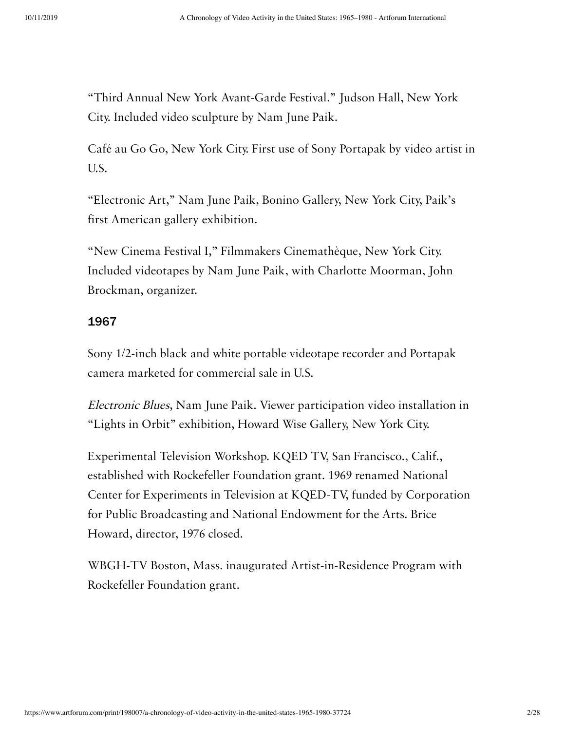"Third Annual New York Avant-Garde Festival." Judson Hall, New York City. Included video sculpture by Nam June Paik.

Café au Go Go, New York City. First use of Sony Portapak by video artist in U.S.

"Electronic Art," Nam June Paik, Bonino Gallery, New York City, Paik's first American gallery exhibition.

"New Cinema Festival I," Filmmakers Cinemathèque, New York City. Included videotapes by Nam June Paik, with Charlotte Moorman, John Brockman, organizer.

### 1967

Sony 1/2-inch black and white portable videotape recorder and Portapak camera marketed for commercial sale in U.S.

Electronic Blues, Nam June Paik. Viewer participation video installation in "Lights in Orbit" exhibition, Howard Wise Gallery, New York City.

Experimental Television Workshop. KQED TV, San Francisco., Calif., established with Rockefeller Foundation grant. 1969 renamed National Center for Experiments in Television at KQED-TV, funded by Corporation for Public Broadcasting and National Endowment for the Arts. Brice Howard, director, 1976 closed.

WBGH-TV Boston, Mass. inaugurated Artist-in-Residence Program with Rockefeller Foundation grant.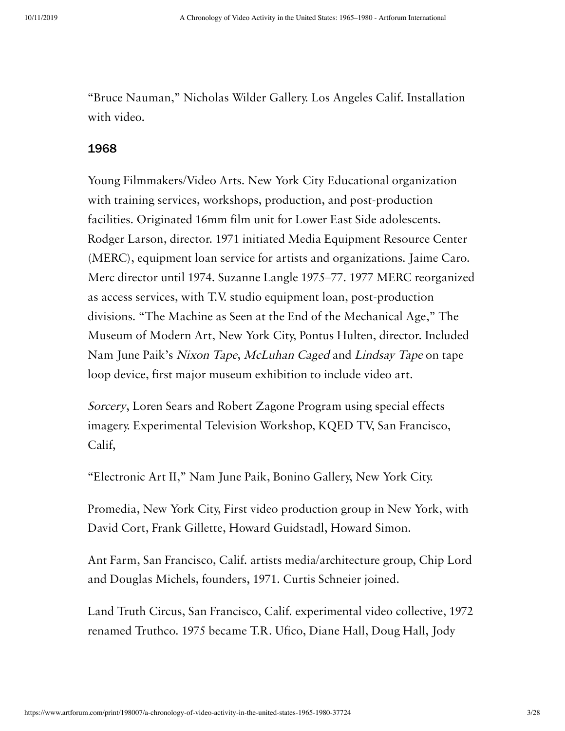"Bruce Nauman," Nicholas Wilder Gallery. Los Angeles Calif. Installation with video.

#### 1968

Young Filmmakers/Video Arts. New York City Educational organization with training services, workshops, production, and post-production facilities. Originated 16mm film unit for Lower East Side adolescents. Rodger Larson, director. 1971 initiated Media Equipment Resource Center (MERC), equipment loan service for artists and organizations. Jaime Caro. Merc director until 1974. Suzanne Langle 1975–77. 1977 MERC reorganized as access services, with T.V. studio equipment loan, post-production divisions. "The Machine as Seen at the End of the Mechanical Age," The Museum of Modern Art, New York City, Pontus Hulten, director. Included Nam June Paik's Nixon Tape, McLuhan Caged and Lindsay Tape on tape loop device, first major museum exhibition to include video art.

Sorcery, Loren Sears and Robert Zagone Program using special effects imagery. Experimental Television Workshop, KQED TV, San Francisco, Calif,

"Electronic Art II," Nam June Paik, Bonino Gallery, New York City.

Promedia, New York City, First video production group in New York, with David Cort, Frank Gillette, Howard Guidstadl, Howard Simon.

Ant Farm, San Francisco, Calif. artists media/architecture group, Chip Lord and Douglas Michels, founders, 1971. Curtis Schneier joined.

Land Truth Circus, San Francisco, Calif. experimental video collective, 1972 renamed Truthco. 1975 became T.R. Ufico, Diane Hall, Doug Hall, Jody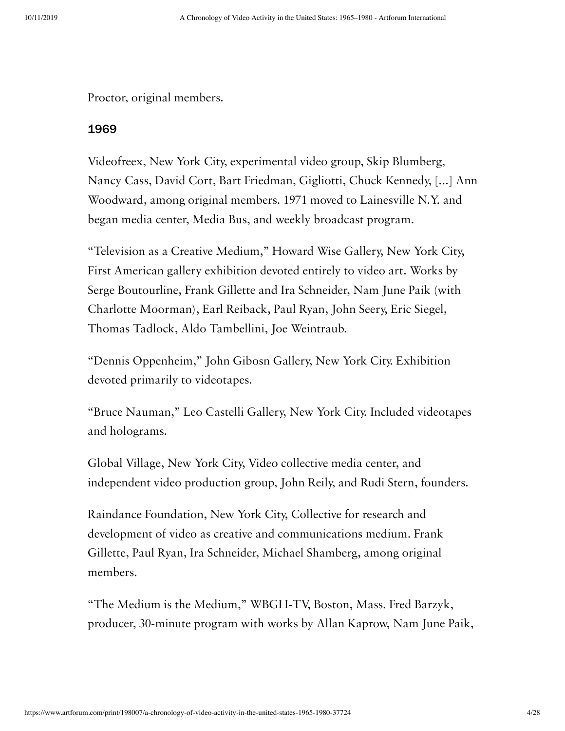Proctor, original members.

#### 1969

Videofreex, New York City, experimental video group, Skip Blumberg, Nancy Cass, David Cort, Bart Friedman, Gigliotti, Chuck Kennedy, [...] Ann Woodward, among original members. 1971 moved to Lainesville N.Y. and began media center, Media Bus, and weekly broadcast program.

"Television as a Creative Medium," Howard Wise Gallery, New York City, First American gallery exhibition devoted entirely to video art. Works by Serge Boutourline, Frank Gillette and Ira Schneider, Nam June Paik (with Charlotte Moorman), Earl Reiback, Paul Ryan, John Seery, Eric Siegel, Thomas Tadlock, Aldo Tambellini, Joe Weintraub.

"Dennis Oppenheim," John Gibosn Gallery, New York City. Exhibition devoted primarily to videotapes.

"Bruce Nauman," Leo Castelli Gallery, New York City. Included videotapes and holograms.

Global Village, New York City, Video collective media center, and independent video production group, John Reily, and Rudi Stern, founders.

Raindance Foundation, New York City, Collective for research and development of video as creative and communications medium. Frank Gillette, Paul Ryan, Ira Schneider, Michael Shamberg, among original members.

"The Medium is the Medium," WBGH-TV, Boston, Mass. Fred Barzyk, producer, 30-minute program with works by Allan Kaprow, Nam June Paik,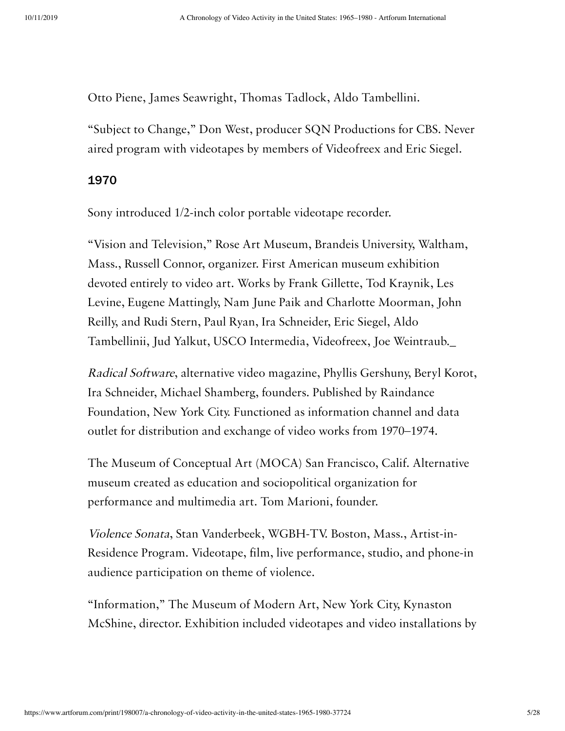Otto Piene, James Seawright, Thomas Tadlock, Aldo Tambellini.

"Subject to Change," Don West, producer SQN Productions for CBS. Never aired program with videotapes by members of Videofreex and Eric Siegel.

#### 1970

Sony introduced 1/2-inch color portable videotape recorder.

"Vision and Television," Rose Art Museum, Brandeis University, Waltham, Mass., Russell Connor, organizer. First American museum exhibition devoted entirely to video art. Works by Frank Gillette, Tod Kraynik, Les Levine, Eugene Mattingly, Nam June Paik and Charlotte Moorman, John Reilly, and Rudi Stern, Paul Ryan, Ira Schneider, Eric Siegel, Aldo Tambellinii, Jud Yalkut, USCO Intermedia, Videofreex, Joe Weintraub.\_

Radical Software, alternative video magazine, Phyllis Gershuny, Beryl Korot, Ira Schneider, Michael Shamberg, founders. Published by Raindance Foundation, New York City. Functioned as information channel and data outlet for distribution and exchange of video works from 1970–1974.

The Museum of Conceptual Art (MOCA) San Francisco, Calif. Alternative museum created as education and sociopolitical organization for performance and multimedia art. Tom Marioni, founder.

Violence Sonata, Stan Vanderbeek, WGBH-TV. Boston, Mass., Artist-in-Residence Program. Videotape, film, live performance, studio, and phone-in audience participation on theme of violence.

"Information," The Museum of Modern Art, New York City, Kynaston McShine, director. Exhibition included videotapes and video installations by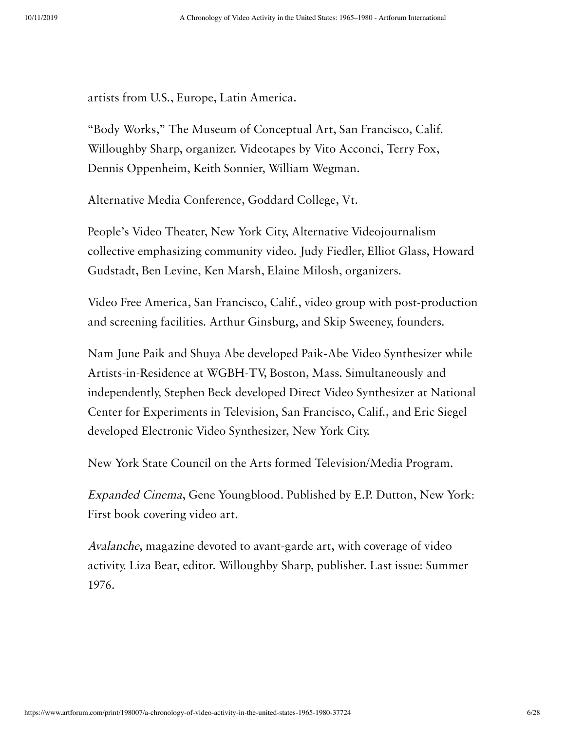artists from U.S., Europe, Latin America.

"Body Works," The Museum of Conceptual Art, San Francisco, Calif. Willoughby Sharp, organizer. Videotapes by Vito Acconci, Terry Fox, Dennis Oppenheim, Keith Sonnier, William Wegman.

Alternative Media Conference, Goddard College, Vt.

People's Video Theater, New York City, Alternative Videojournalism collective emphasizing community video. Judy Fiedler, Elliot Glass, Howard Gudstadt, Ben Levine, Ken Marsh, Elaine Milosh, organizers.

Video Free America, San Francisco, Calif., video group with post-production and screening facilities. Arthur Ginsburg, and Skip Sweeney, founders.

Nam June Paik and Shuya Abe developed Paik-Abe Video Synthesizer while Artists-in-Residence at WGBH-TV, Boston, Mass. Simultaneously and independently, Stephen Beck developed Direct Video Synthesizer at National Center for Experiments in Television, San Francisco, Calif., and Eric Siegel developed Electronic Video Synthesizer, New York City.

New York State Council on the Arts formed Television/Media Program.

Expanded Cinema, Gene Youngblood. Published by E.P. Dutton, New York: First book covering video art.

Avalanche, magazine devoted to avant-garde art, with coverage of video activity. Liza Bear, editor. Willoughby Sharp, publisher. Last issue: Summer 1976.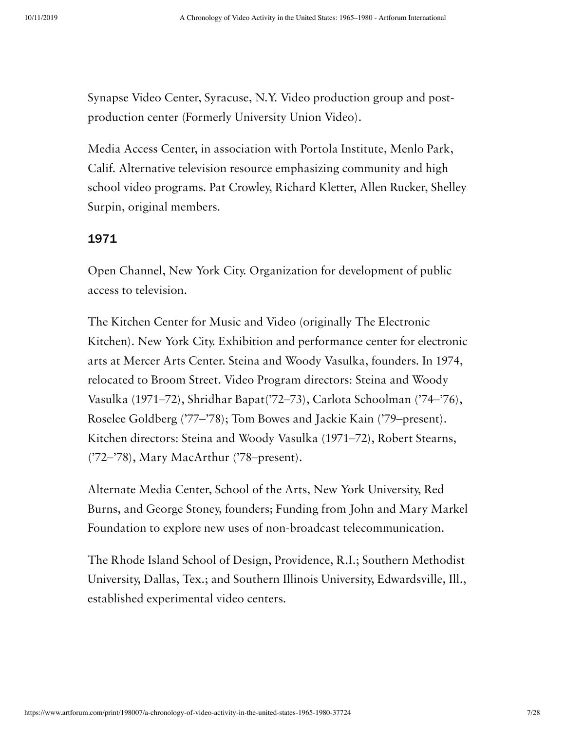Synapse Video Center, Syracuse, N.Y. Video production group and postproduction center (Formerly University Union Video).

Media Access Center, in association with Portola Institute, Menlo Park, Calif. Alternative television resource emphasizing community and high school video programs. Pat Crowley, Richard Kletter, Allen Rucker, Shelley Surpin, original members.

#### 1971

Open Channel, New York City. Organization for development of public access to television.

The Kitchen Center for Music and Video (originally The Electronic Kitchen). New York City. Exhibition and performance center for electronic arts at Mercer Arts Center. Steina and Woody Vasulka, founders. In 1974, relocated to Broom Street. Video Program directors: Steina and Woody Vasulka (1971–72), Shridhar Bapat('72–73), Carlota Schoolman ('74–'76), Roselee Goldberg ('77–'78); Tom Bowes and Jackie Kain ('79–present). Kitchen directors: Steina and Woody Vasulka (1971–72), Robert Stearns, ('72–'78), Mary MacArthur ('78–present).

Alternate Media Center, School of the Arts, New York University, Red Burns, and George Stoney, founders; Funding from John and Mary Markel Foundation to explore new uses of non-broadcast telecommunication.

The Rhode Island School of Design, Providence, R.I.; Southern Methodist University, Dallas, Tex.; and Southern Illinois University, Edwardsville, Ill., established experimental video centers.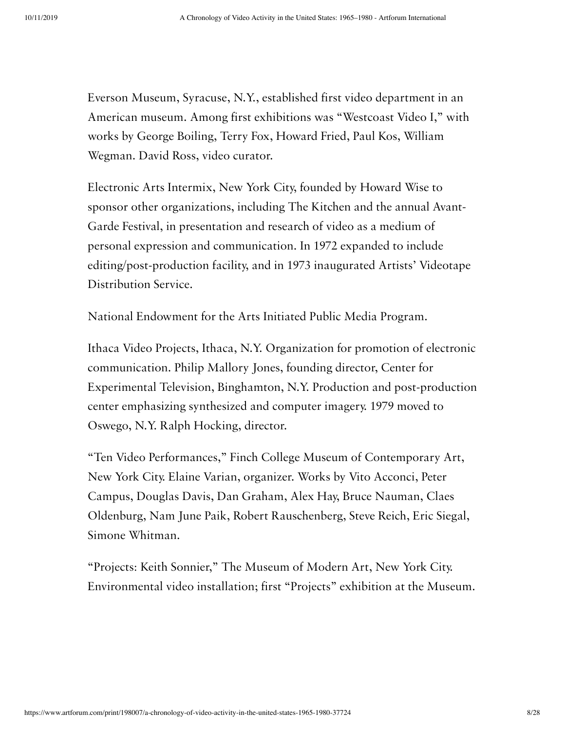Everson Museum, Syracuse, N.Y., established first video department in an American museum. Among first exhibitions was "Westcoast Video I," with works by George Boiling, Terry Fox, Howard Fried, Paul Kos, William Wegman. David Ross, video curator.

Electronic Arts Intermix, New York City, founded by Howard Wise to sponsor other organizations, including The Kitchen and the annual Avant-Garde Festival, in presentation and research of video as a medium of personal expression and communication. In 1972 expanded to include editing/post-production facility, and in 1973 inaugurated Artists' Videotape Distribution Service.

National Endowment for the Arts Initiated Public Media Program.

Ithaca Video Projects, Ithaca, N.Y. Organization for promotion of electronic communication. Philip Mallory Jones, founding director, Center for Experimental Television, Binghamton, N.Y. Production and post-production center emphasizing synthesized and computer imagery. 1979 moved to Oswego, N.Y. Ralph Hocking, director.

"Ten Video Performances," Finch College Museum of Contemporary Art, New York City. Elaine Varian, organizer. Works by Vito Acconci, Peter Campus, Douglas Davis, Dan Graham, Alex Hay, Bruce Nauman, Claes Oldenburg, Nam June Paik, Robert Rauschenberg, Steve Reich, Eric Siegal, Simone Whitman.

"Projects: Keith Sonnier," The Museum of Modern Art, New York City. Environmental video installation; first "Projects" exhibition at the Museum.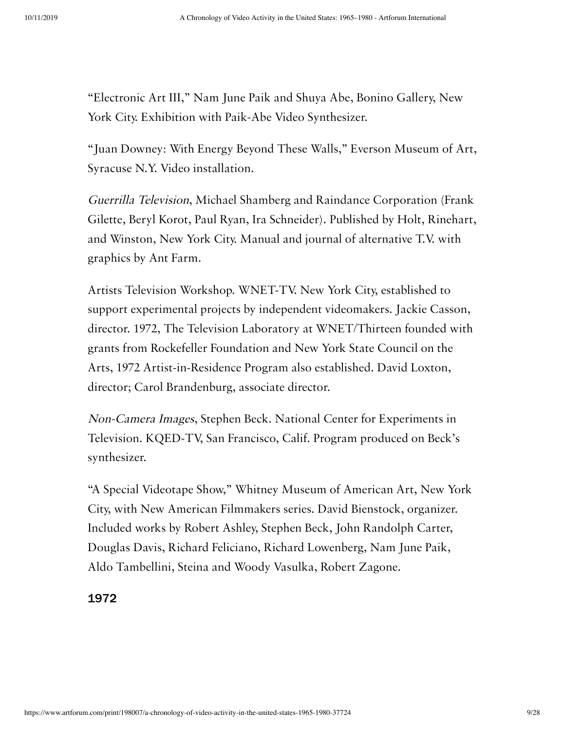"Electronic Art III," Nam June Paik and Shuya Abe, Bonino Gallery, New York City. Exhibition with Paik-Abe Video Synthesizer.

"Juan Downey: With Energy Beyond These Walls," Everson Museum of Art, Syracuse N.Y. Video installation.

Guerrilla Television, Michael Shamberg and Raindance Corporation (Frank Gilette, Beryl Korot, Paul Ryan, Ira Schneider). Published by Holt, Rinehart, and Winston, New York City. Manual and journal of alternative T.V. with graphics by Ant Farm.

Artists Television Workshop. WNET-TV. New York City, established to support experimental projects by independent videomakers. Jackie Casson, director. 1972, The Television Laboratory at WNET/Thirteen founded with grants from Rockefeller Foundation and New York State Council on the Arts, 1972 Artist-in-Residence Program also established. David Loxton, director; Carol Brandenburg, associate director.

Non-Camera Images, Stephen Beck. National Center for Experiments in Television. KQED-TV, San Francisco, Calif. Program produced on Beck's synthesizer.

"A Special Videotape Show," Whitney Museum of American Art, New York City, with New American Filmmakers series. David Bienstock, organizer. Included works by Robert Ashley, Stephen Beck, John Randolph Carter, Douglas Davis, Richard Feliciano, Richard Lowenberg, Nam June Paik, Aldo Tambellini, Steina and Woody Vasulka, Robert Zagone.

### 1972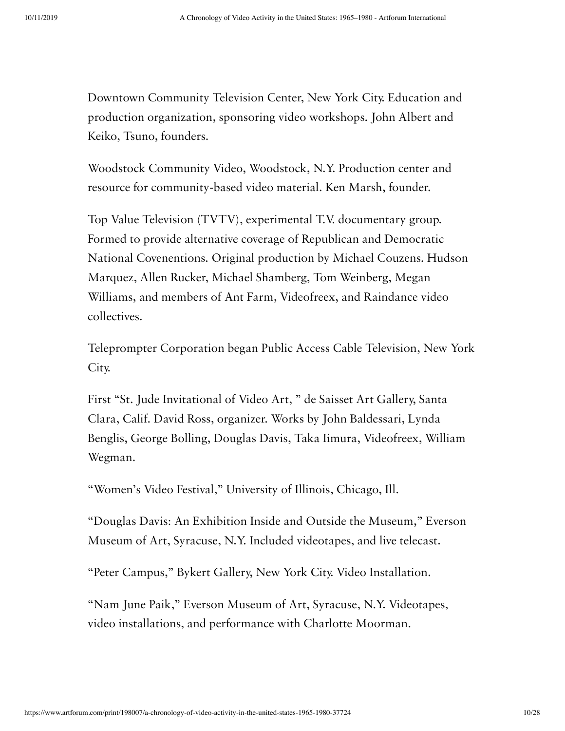Downtown Community Television Center, New York City. Education and production organization, sponsoring video workshops. John Albert and Keiko, Tsuno, founders.

Woodstock Community Video, Woodstock, N.Y. Production center and resource for community-based video material. Ken Marsh, founder.

Top Value Television (TVTV), experimental T.V. documentary group. Formed to provide alternative coverage of Republican and Democratic National Covenentions. Original production by Michael Couzens. Hudson Marquez, Allen Rucker, Michael Shamberg, Tom Weinberg, Megan Williams, and members of Ant Farm, Videofreex, and Raindance video collectives.

Teleprompter Corporation began Public Access Cable Television, New York City.

First "St. Jude Invitational of Video Art, " de Saisset Art Gallery, Santa Clara, Calif. David Ross, organizer. Works by John Baldessari, Lynda Benglis, George Bolling, Douglas Davis, Taka Iimura, Videofreex, William Wegman.

"Women's Video Festival," University of Illinois, Chicago, Ill.

"Douglas Davis: An Exhibition Inside and Outside the Museum," Everson Museum of Art, Syracuse, N.Y. Included videotapes, and live telecast.

"Peter Campus," Bykert Gallery, New York City. Video Installation.

"Nam June Paik," Everson Museum of Art, Syracuse, N.Y. Videotapes, video installations, and performance with Charlotte Moorman.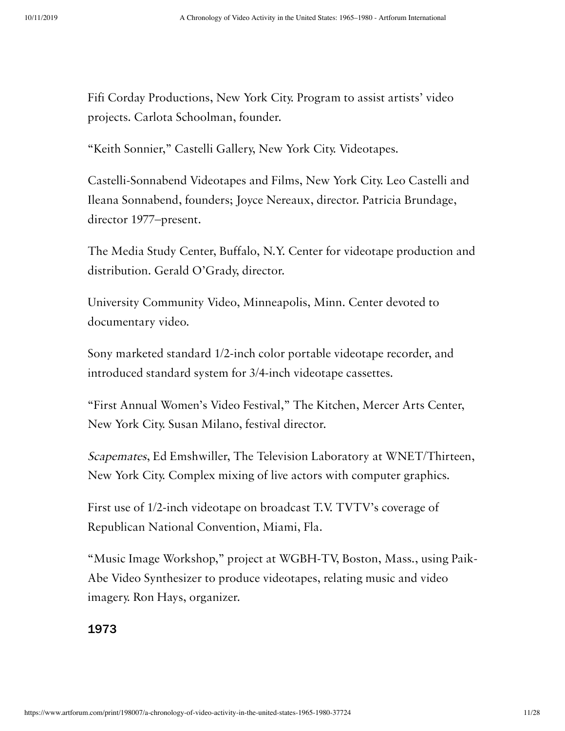Fifi Corday Productions, New York City. Program to assist artists' video projects. Carlota Schoolman, founder.

"Keith Sonnier," Castelli Gallery, New York City. Videotapes.

Castelli-Sonnabend Videotapes and Films, New York City. Leo Castelli and Ileana Sonnabend, founders; Joyce Nereaux, director. Patricia Brundage, director 1977–present.

The Media Study Center, Buffalo, N.Y. Center for videotape production and distribution. Gerald O'Grady, director.

University Community Video, Minneapolis, Minn. Center devoted to documentary video.

Sony marketed standard 1/2-inch color portable videotape recorder, and introduced standard system for 3/4-inch videotape cassettes.

"First Annual Women's Video Festival," The Kitchen, Mercer Arts Center, New York City. Susan Milano, festival director.

Scapemates, Ed Emshwiller, The Television Laboratory at WNET/Thirteen, New York City. Complex mixing of live actors with computer graphics.

First use of 1/2-inch videotape on broadcast T.V. TVTV's coverage of Republican National Convention, Miami, Fla.

"Music Image Workshop," project at WGBH-TV, Boston, Mass., using Paik-Abe Video Synthesizer to produce videotapes, relating music and video imagery. Ron Hays, organizer.

### 1973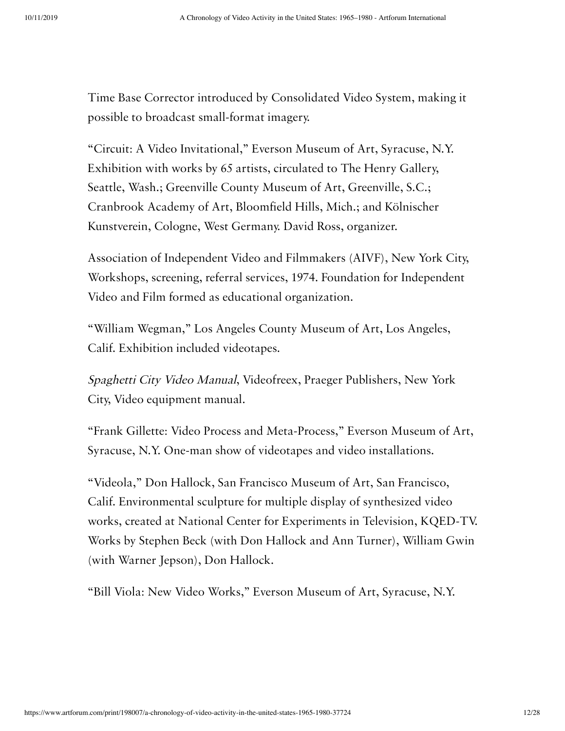Time Base Corrector introduced by Consolidated Video System, making it possible to broadcast small-format imagery.

"Circuit: A Video Invitational," Everson Museum of Art, Syracuse, N.Y. Exhibition with works by 65 artists, circulated to The Henry Gallery, Seattle, Wash.; Greenville County Museum of Art, Greenville, S.C.; Cranbrook Academy of Art, Bloomfield Hills, Mich.; and Kölnischer Kunstverein, Cologne, West Germany. David Ross, organizer.

Association of Independent Video and Filmmakers (AIVF), New York City, Workshops, screening, referral services, 1974. Foundation for Independent Video and Film formed as educational organization.

"William Wegman," Los Angeles County Museum of Art, Los Angeles, Calif. Exhibition included videotapes.

Spaghetti City Video Manual, Videofreex, Praeger Publishers, New York City, Video equipment manual.

"Frank Gillette: Video Process and Meta-Process," Everson Museum of Art, Syracuse, N.Y. One-man show of videotapes and video installations.

"Videola," Don Hallock, San Francisco Museum of Art, San Francisco, Calif. Environmental sculpture for multiple display of synthesized video works, created at National Center for Experiments in Television, KQED-TV. Works by Stephen Beck (with Don Hallock and Ann Turner), William Gwin (with Warner Jepson), Don Hallock.

"Bill Viola: New Video Works," Everson Museum of Art, Syracuse, N.Y.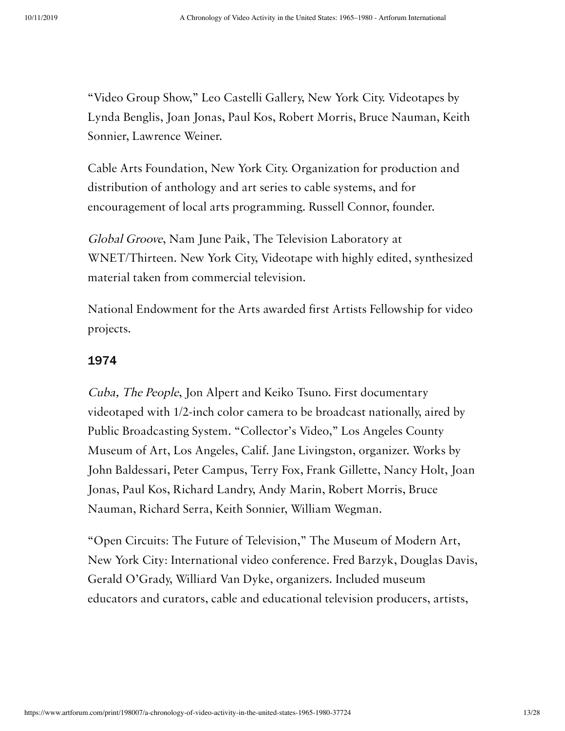"Video Group Show," Leo Castelli Gallery, New York City. Videotapes by Lynda Benglis, Joan Jonas, Paul Kos, Robert Morris, Bruce Nauman, Keith Sonnier, Lawrence Weiner.

Cable Arts Foundation, New York City. Organization for production and distribution of anthology and art series to cable systems, and for encouragement of local arts programming. Russell Connor, founder.

Global Groove, Nam June Paik, The Television Laboratory at WNET/Thirteen. New York City, Videotape with highly edited, synthesized material taken from commercial television.

National Endowment for the Arts awarded first Artists Fellowship for video projects.

### 1974

Cuba, The People, Jon Alpert and Keiko Tsuno. First documentary videotaped with 1/2-inch color camera to be broadcast nationally, aired by Public Broadcasting System. "Collector's Video," Los Angeles County Museum of Art, Los Angeles, Calif. Jane Livingston, organizer. Works by John Baldessari, Peter Campus, Terry Fox, Frank Gillette, Nancy Holt, Joan Jonas, Paul Kos, Richard Landry, Andy Marin, Robert Morris, Bruce Nauman, Richard Serra, Keith Sonnier, William Wegman.

"Open Circuits: The Future of Television," The Museum of Modern Art, New York City: International video conference. Fred Barzyk, Douglas Davis, Gerald O'Grady, Williard Van Dyke, organizers. Included museum educators and curators, cable and educational television producers, artists,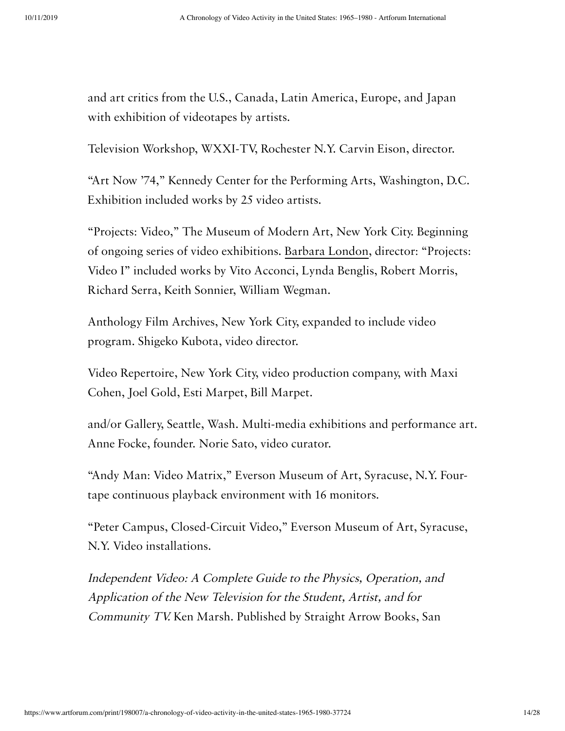and art critics from the U.S., Canada, Latin America, Europe, and Japan with exhibition of videotapes by artists.

Television Workshop, WXXI-TV, Rochester N.Y. Carvin Eison, director.

"Art Now '74," Kennedy Center for the Performing Arts, Washington, D.C. Exhibition included works by 25 video artists.

"Projects: Video," The Museum of Modern Art, New York City. Beginning of ongoing series of video exhibitions. [Barbara](https://www.artforum.com/contributor/barbara-london) London, director: "Projects: Video I" included works by Vito Acconci, Lynda Benglis, Robert Morris, Richard Serra, Keith Sonnier, William Wegman.

Anthology Film Archives, New York City, expanded to include video program. Shigeko Kubota, video director.

Video Repertoire, New York City, video production company, with Maxi Cohen, Joel Gold, Esti Marpet, Bill Marpet.

and/or Gallery, Seattle, Wash. Multi-media exhibitions and performance art. Anne Focke, founder. Norie Sato, video curator.

"Andy Man: Video Matrix," Everson Museum of Art, Syracuse, N.Y. Fourtape continuous playback environment with 16 monitors.

"Peter Campus, Closed-Circuit Video," Everson Museum of Art, Syracuse, N.Y. Video installations.

Independent Video: A Complete Guide to the Physics, Operation, and Application of the New Television for the Student, Artist, and for Community TV. Ken Marsh. Published by Straight Arrow Books, San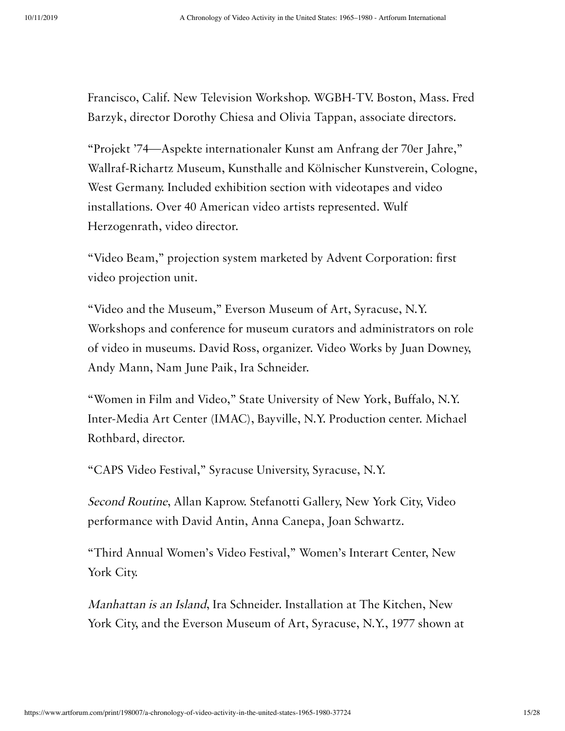Francisco, Calif. New Television Workshop. WGBH-TV. Boston, Mass. Fred Barzyk, director Dorothy Chiesa and Olivia Tappan, associate directors.

"Projekt '74—Aspekte internationaler Kunst am Anfrang der 70er Jahre," Wallraf-Richartz Museum, Kunsthalle and Kölnischer Kunstverein, Cologne, West Germany. Included exhibition section with videotapes and video installations. Over 40 American video artists represented. Wulf Herzogenrath, video director.

"Video Beam," projection system marketed by Advent Corporation: first video projection unit.

"Video and the Museum," Everson Museum of Art, Syracuse, N.Y. Workshops and conference for museum curators and administrators on role of video in museums. David Ross, organizer. Video Works by Juan Downey, Andy Mann, Nam June Paik, Ira Schneider.

"Women in Film and Video," State University of New York, Buffalo, N.Y. Inter-Media Art Center (IMAC), Bayville, N.Y. Production center. Michael Rothbard, director.

"CAPS Video Festival," Syracuse University, Syracuse, N.Y.

Second Routine, Allan Kaprow. Stefanotti Gallery, New York City, Video performance with David Antin, Anna Canepa, Joan Schwartz.

"Third Annual Women's Video Festival," Women's Interart Center, New York City.

Manhattan is an Island, Ira Schneider. Installation at The Kitchen, New York City, and the Everson Museum of Art, Syracuse, N.Y., 1977 shown at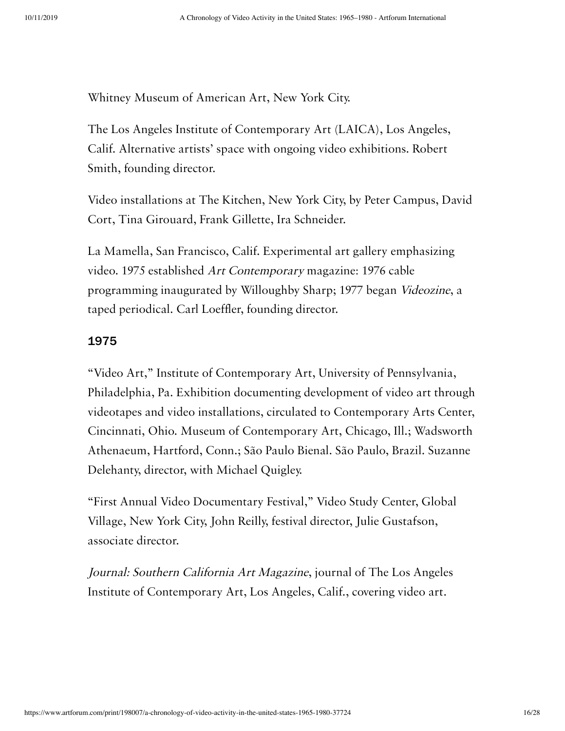Whitney Museum of American Art, New York City.

The Los Angeles Institute of Contemporary Art (LAICA), Los Angeles, Calif. Alternative artists' space with ongoing video exhibitions. Robert Smith, founding director.

Video installations at The Kitchen, New York City, by Peter Campus, David Cort, Tina Girouard, Frank Gillette, Ira Schneider.

La Mamella, San Francisco, Calif. Experimental art gallery emphasizing video. 1975 established Art Contemporary magazine: 1976 cable programming inaugurated by Willoughby Sharp; 1977 began Videozine, a taped periodical. Carl Loeffler, founding director.

#### 1975

"Video Art," Institute of Contemporary Art, University of Pennsylvania, Philadelphia, Pa. Exhibition documenting development of video art through videotapes and video installations, circulated to Contemporary Arts Center, Cincinnati, Ohio. Museum of Contemporary Art, Chicago, Ill.; Wadsworth Athenaeum, Hartford, Conn.; São Paulo Bienal. São Paulo, Brazil. Suzanne Delehanty, director, with Michael Quigley.

"First Annual Video Documentary Festival," Video Study Center, Global Village, New York City, John Reilly, festival director, Julie Gustafson, associate director.

Journal: Southern California Art Magazine, journal of The Los Angeles Institute of Contemporary Art, Los Angeles, Calif., covering video art.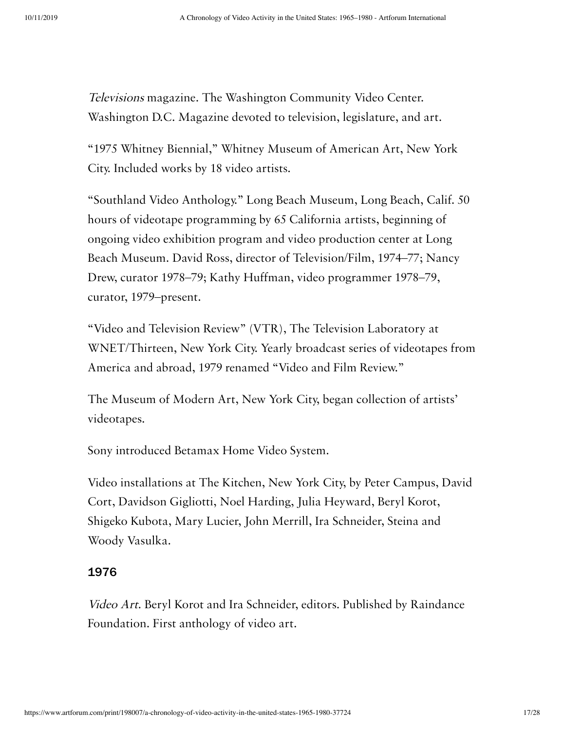Televisions magazine. The Washington Community Video Center. Washington D.C. Magazine devoted to television, legislature, and art.

"1975 Whitney Biennial," Whitney Museum of American Art, New York City. Included works by 18 video artists.

"Southland Video Anthology." Long Beach Museum, Long Beach, Calif. 50 hours of videotape programming by 65 California artists, beginning of ongoing video exhibition program and video production center at Long Beach Museum. David Ross, director of Television/Film, 1974–77; Nancy Drew, curator 1978–79; Kathy Huffman, video programmer 1978–79, curator, 1979–present.

"Video and Television Review" (VTR), The Television Laboratory at WNET/Thirteen, New York City. Yearly broadcast series of videotapes from America and abroad, 1979 renamed "Video and Film Review."

The Museum of Modern Art, New York City, began collection of artists' videotapes.

Sony introduced Betamax Home Video System.

Video installations at The Kitchen, New York City, by Peter Campus, David Cort, Davidson Gigliotti, Noel Harding, Julia Heyward, Beryl Korot, Shigeko Kubota, Mary Lucier, John Merrill, Ira Schneider, Steina and Woody Vasulka.

### 1976

Video Art. Beryl Korot and Ira Schneider, editors. Published by Raindance Foundation. First anthology of video art.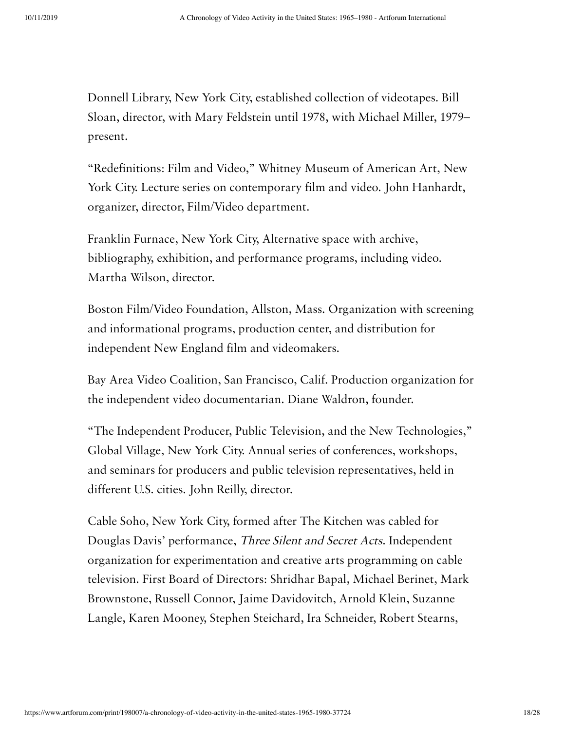Donnell Library, New York City, established collection of videotapes. Bill Sloan, director, with Mary Feldstein until 1978, with Michael Miller, 1979– present.

"Redefinitions: Film and Video," Whitney Museum of American Art, New York City. Lecture series on contemporary film and video. John Hanhardt, organizer, director, Film/Video department.

Franklin Furnace, New York City, Alternative space with archive, bibliography, exhibition, and performance programs, including video. Martha Wilson, director.

Boston Film/Video Foundation, Allston, Mass. Organization with screening and informational programs, production center, and distribution for independent New England film and videomakers.

Bay Area Video Coalition, San Francisco, Calif. Production organization for the independent video documentarian. Diane Waldron, founder.

"The Independent Producer, Public Television, and the New Technologies," Global Village, New York City. Annual series of conferences, workshops, and seminars for producers and public television representatives, held in different U.S. cities. John Reilly, director.

Cable Soho, New York City, formed after The Kitchen was cabled for Douglas Davis' performance, Three Silent and Secret Acts. Independent organization for experimentation and creative arts programming on cable television. First Board of Directors: Shridhar Bapal, Michael Berinet, Mark Brownstone, Russell Connor, Jaime Davidovitch, Arnold Klein, Suzanne Langle, Karen Mooney, Stephen Steichard, Ira Schneider, Robert Stearns,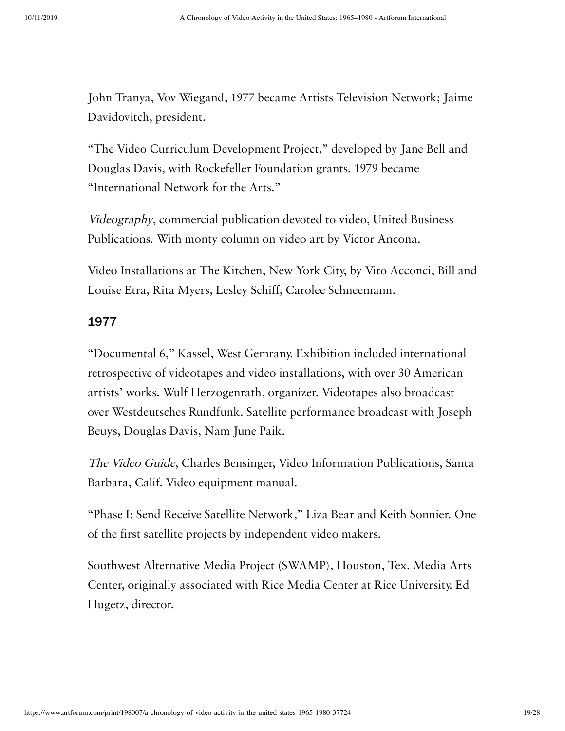John Tranya, Vov Wiegand, 1977 became Artists Television Network; Jaime Davidovitch, president.

"The Video Curriculum Development Project," developed by Jane Bell and Douglas Davis, with Rockefeller Foundation grants. 1979 became "International Network for the Arts."

Videography, commercial publication devoted to video, United Business Publications. With monty column on video art by Victor Ancona.

Video Installations at The Kitchen, New York City, by Vito Acconci, Bill and Louise Etra, Rita Myers, Lesley Schiff, Carolee Schneemann.

### 1977

"Documental 6," Kassel, West Gemrany. Exhibition included international retrospective of videotapes and video installations, with over 30 American artists' works. Wulf Herzogenrath, organizer. Videotapes also broadcast over Westdeutsches Rundfunk. Satellite performance broadcast with Joseph Beuys, Douglas Davis, Nam June Paik.

The Video Guide, Charles Bensinger, Video Information Publications, Santa Barbara, Calif. Video equipment manual.

"Phase I: Send Receive Satellite Network," Liza Bear and Keith Sonnier. One of the first satellite projects by independent video makers.

Southwest Alternative Media Project (SWAMP), Houston, Tex. Media Arts Center, originally associated with Rice Media Center at Rice University. Ed Hugetz, director.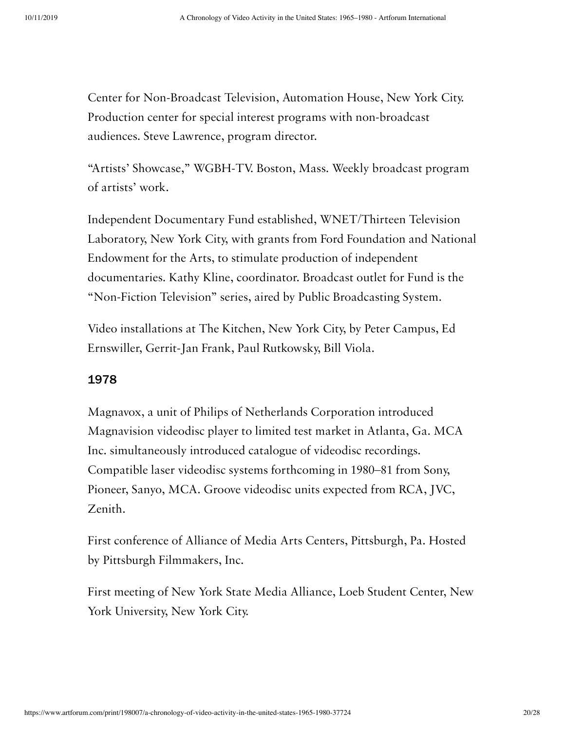Center for Non-Broadcast Television, Automation House, New York City. Production center for special interest programs with non-broadcast audiences. Steve Lawrence, program director.

"Artists' Showcase," WGBH-TV. Boston, Mass. Weekly broadcast program of artists' work.

Independent Documentary Fund established, WNET/Thirteen Television Laboratory, New York City, with grants from Ford Foundation and National Endowment for the Arts, to stimulate production of independent documentaries. Kathy Kline, coordinator. Broadcast outlet for Fund is the "Non-Fiction Television" series, aired by Public Broadcasting System.

Video installations at The Kitchen, New York City, by Peter Campus, Ed Ernswiller, Gerrit-Jan Frank, Paul Rutkowsky, Bill Viola.

### 1978

Magnavox, a unit of Philips of Netherlands Corporation introduced Magnavision videodisc player to limited test market in Atlanta, Ga. MCA Inc. simultaneously introduced catalogue of videodisc recordings. Compatible laser videodisc systems forthcoming in 1980–81 from Sony, Pioneer, Sanyo, MCA. Groove videodisc units expected from RCA, JVC, Zenith.

First conference of Alliance of Media Arts Centers, Pittsburgh, Pa. Hosted by Pittsburgh Filmmakers, Inc.

First meeting of New York State Media Alliance, Loeb Student Center, New York University, New York City.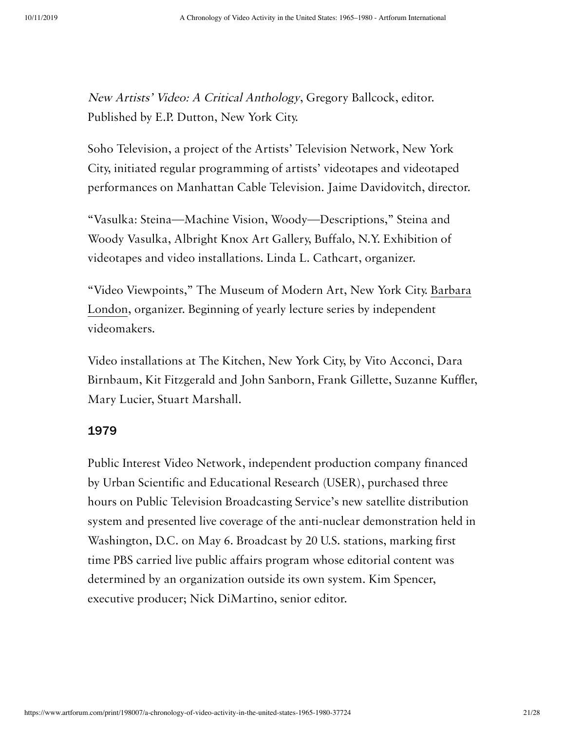New Artists' Video: <sup>A</sup> Critical Anthology, Gregory Ballcock, editor. Published by E.P. Dutton, New York City.

Soho Television, a project of the Artists' Television Network, New York City, initiated regular programming of artists' videotapes and videotaped performances on Manhattan Cable Television. Jaime Davidovitch, director.

"Vasulka: Steina—Machine Vision, Woody—Descriptions," Steina and Woody Vasulka, Albright Knox Art Gallery, Buffalo, N.Y. Exhibition of videotapes and video installations. Linda L. Cathcart, organizer.

"Video [Viewpoints,"](https://www.artforum.com/contributor/barbara-london) The Museum of Modern Art, New York City. Barbara London, organizer. Beginning of yearly lecture series by independent videomakers.

Video installations at The Kitchen, New York City, by Vito Acconci, Dara Birnbaum, Kit Fitzgerald and John Sanborn, Frank Gillette, Suzanne Kuffler, Mary Lucier, Stuart Marshall.

### 1979

Public Interest Video Network, independent production company financed by Urban Scientific and Educational Research (USER), purchased three hours on Public Television Broadcasting Service's new satellite distribution system and presented live coverage of the anti-nuclear demonstration held in Washington, D.C. on May 6. Broadcast by 20 U.S. stations, marking first time PBS carried live public affairs program whose editorial content was determined by an organization outside its own system. Kim Spencer, executive producer; Nick DiMartino, senior editor.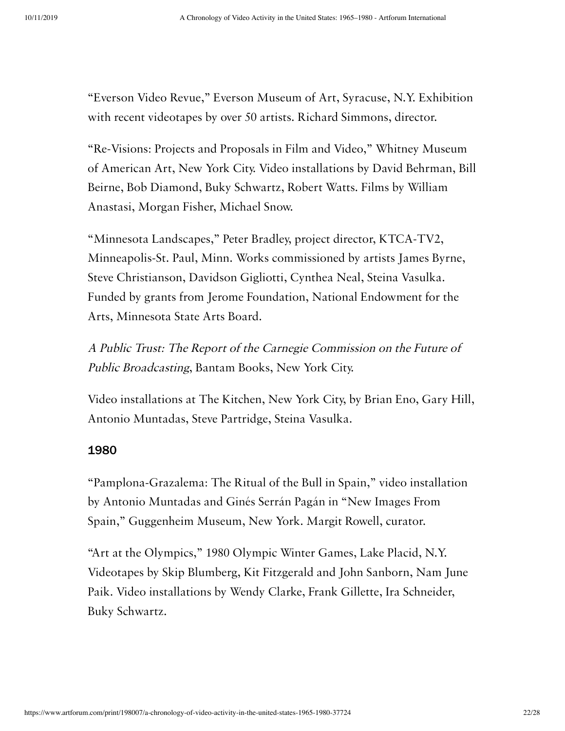"Everson Video Revue," Everson Museum of Art, Syracuse, N.Y. Exhibition with recent videotapes by over 50 artists. Richard Simmons, director.

"Re-Visions: Projects and Proposals in Film and Video," Whitney Museum of American Art, New York City. Video installations by David Behrman, Bill Beirne, Bob Diamond, Buky Schwartz, Robert Watts. Films by William Anastasi, Morgan Fisher, Michael Snow.

"Minnesota Landscapes," Peter Bradley, project director, KTCA-TV2, Minneapolis-St. Paul, Minn. Works commissioned by artists James Byrne, Steve Christianson, Davidson Gigliotti, Cynthea Neal, Steina Vasulka. Funded by grants from Jerome Foundation, National Endowment for the Arts, Minnesota State Arts Board.

A Public Trust: The Report of the Carnegie Commission on the Future of Public Broadcasting, Bantam Books, New York City.

Video installations at The Kitchen, New York City, by Brian Eno, Gary Hill, Antonio Muntadas, Steve Partridge, Steina Vasulka.

### 1980

"Pamplona-Grazalema: The Ritual of the Bull in Spain," video installation by Antonio Muntadas and Ginés Serrán Pagán in "New Images From Spain," Guggenheim Museum, New York. Margit Rowell, curator.

"Art at the Olympics," 1980 Olympic Winter Games, Lake Placid, N.Y. Videotapes by Skip Blumberg, Kit Fitzgerald and John Sanborn, Nam June Paik. Video installations by Wendy Clarke, Frank Gillette, Ira Schneider, Buky Schwartz.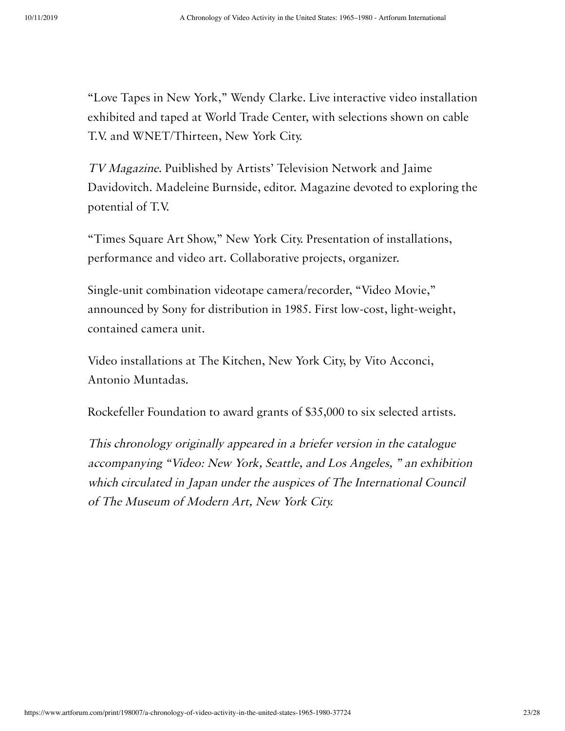"Love Tapes in New York," Wendy Clarke. Live interactive video installation exhibited and taped at World Trade Center, with selections shown on cable T.V. and WNET/Thirteen, New York City.

TV Magazine. Puiblished by Artists' Television Network and Jaime Davidovitch. Madeleine Burnside, editor. Magazine devoted to exploring the potential of T.V.

"Times Square Art Show," New York City. Presentation of installations, performance and video art. Collaborative projects, organizer.

Single-unit combination videotape camera/recorder, "Video Movie," announced by Sony for distribution in 1985. First low-cost, light-weight, contained camera unit.

Video installations at The Kitchen, New York City, by Vito Acconci, Antonio Muntadas.

Rockefeller Foundation to award grants of \$35,000 to six selected artists.

This chronology originally appeared in <sup>a</sup> briefer version in the catalogue accompanying "Video: New York, Seattle, and Los Angeles, " an exhibition which circulated in Japan under the auspices of The International Council of The Museum of Modern Art, New York City.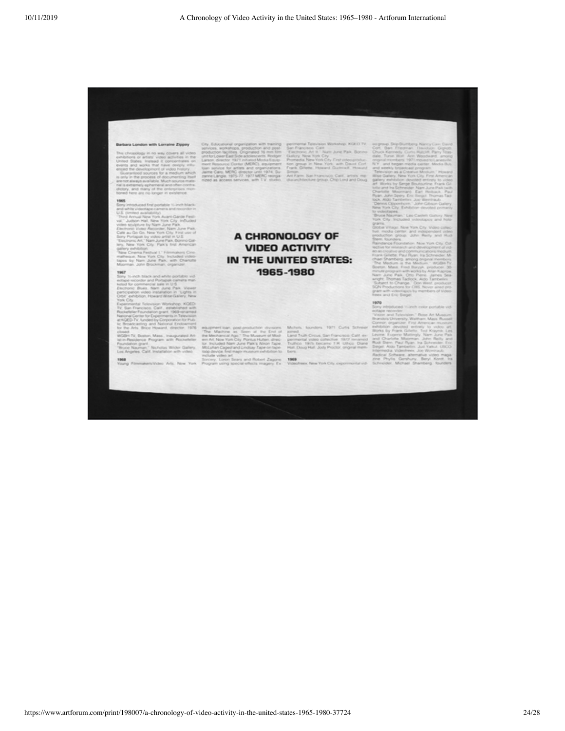#### A CHRONOLOGY OF **VIDEO ACTIVITY** IN THE UNITED STATES: 1965-1980

#### https://www.artforum.com/print/198007/a-chronology-of-video-activity-in-the-united-states-1965-1980-37724 24/28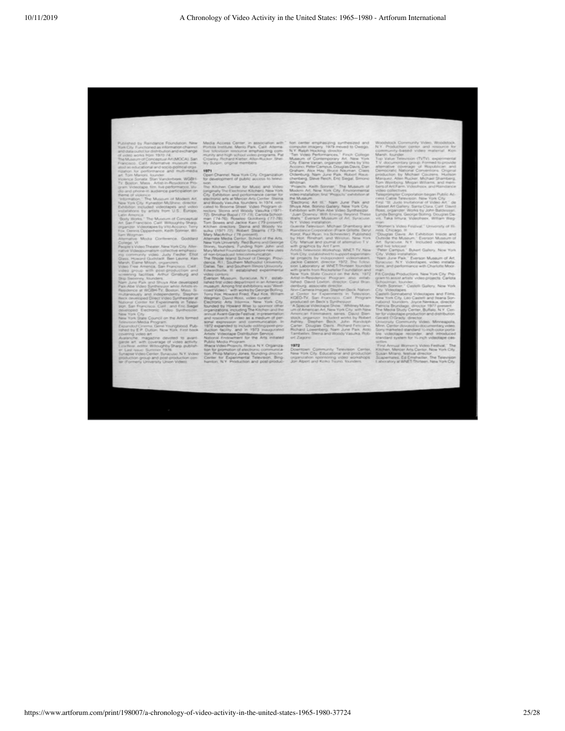MOCAL Sa

n Art

**CT-TV-N** 

1972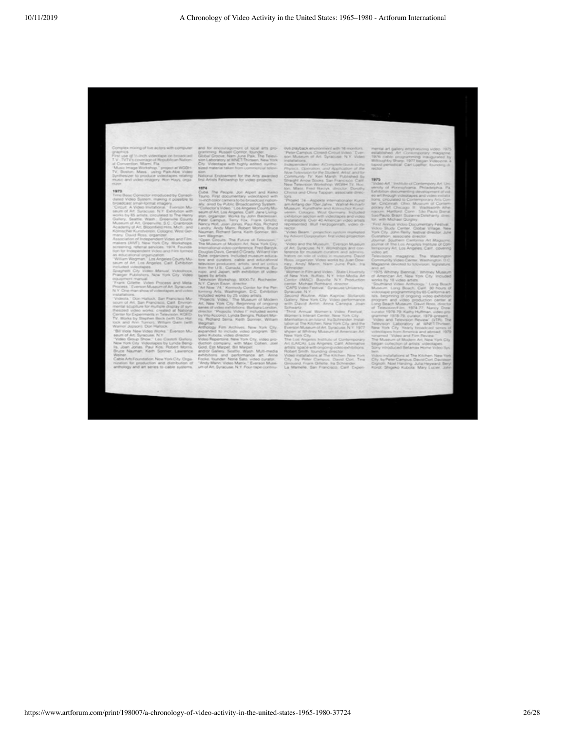#### tar:

**1974**